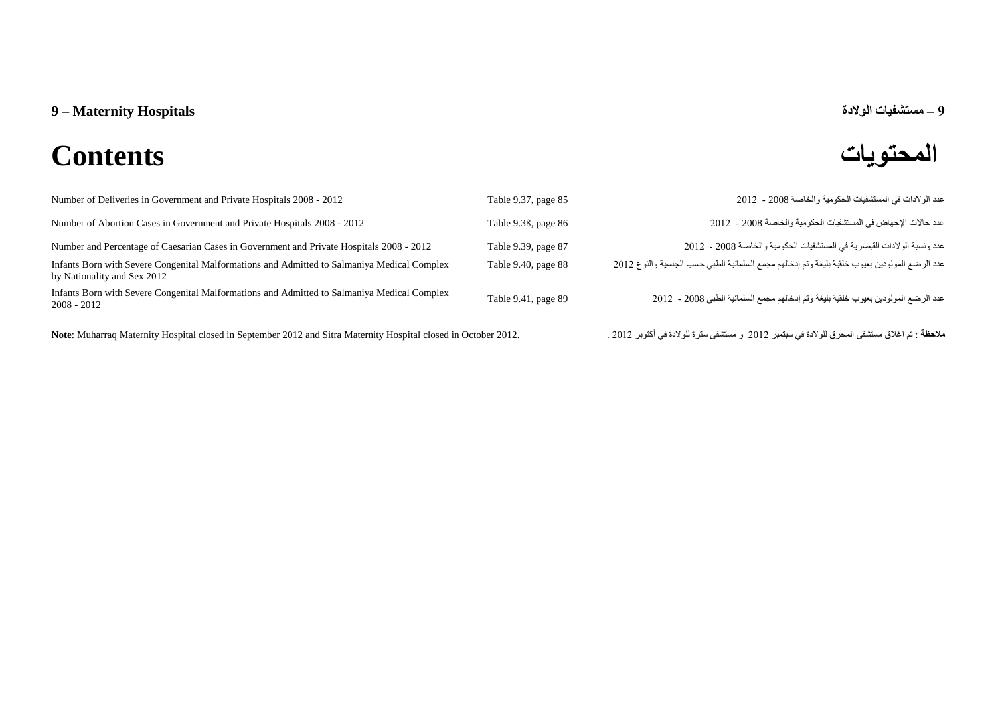## **المحتويات Contents**

| Number of Deliveries in Government and Private Hospitals 2008 - 2012                                                                                                                                                           | Table 9.37, page 85 | عدد الو لادات في المستشفيات الحكو مية و الخاصة 2008 - 2012                                                                                                                                                                                |
|--------------------------------------------------------------------------------------------------------------------------------------------------------------------------------------------------------------------------------|---------------------|-------------------------------------------------------------------------------------------------------------------------------------------------------------------------------------------------------------------------------------------|
| Number of Abortion Cases in Government and Private Hospitals 2008 - 2012                                                                                                                                                       | Table 9.38, page 86 | عدد حالات الإجهاض في المستشفيات الحكومية والخاصة 2008 - 2012                                                                                                                                                                              |
| Number and Percentage of Caesarian Cases in Government and Private Hospitals 2008 - 2012                                                                                                                                       | Table 9.39, page 87 | عدد و نسبة الو لادات القيصر بـة في المستشفيات الحكو مية و الخاصـة 2008 - 2012                                                                                                                                                             |
| Infants Born with Severe Congenital Malformations and Admitted to Salmaniya Medical Complex<br>by Nationality and Sex 2012                                                                                                     | Table 9.40, page 88 | عدد الرضع المولودين بعيوب خلقية بليغة وتم إدخالهم مجمع السلمانية الطبي حسب الجنسية والنوع 2012                                                                                                                                            |
| Infants Born with Severe Congenital Malformations and Admitted to Salmaniya Medical Complex<br>$2008 - 2012$                                                                                                                   | Table 9.41, page 89 | عدد الرضع المولودين بعيوب خلقية بليغة وتم إدخالهم مجمع السلمانية الطبي 2008 - 2012                                                                                                                                                        |
| AT A SEA A SEAL AND THE AND A LOCAL CONTRACT AND A LOCAL CONTRACT A LOCAL CONTRACT AND A LOCAL CONTRACT AND A LOCAL CONTRACT AND A LOCAL CONTRACT AND A LOCAL CONTRACT AND A LOCAL CONTRACT AND A LOCAL CONTRACT AND A LOCAL C |                     | $\alpha$ and $\alpha'$ is the second contract of the finite state $\alpha$ . The second of the second contract of the second second contract of the second second second second second second second second second second second second s |

**مالحظة** : تم اغالق مستشفى المحرق للوالدة في سبتمبر 2102 و مستشفى سترة للوالدة في أكتوبر 2102 . 2012. October in closed Hospital Maternity Sitra and 2012 September in closed Hospital Maternity Muharraq :**Note**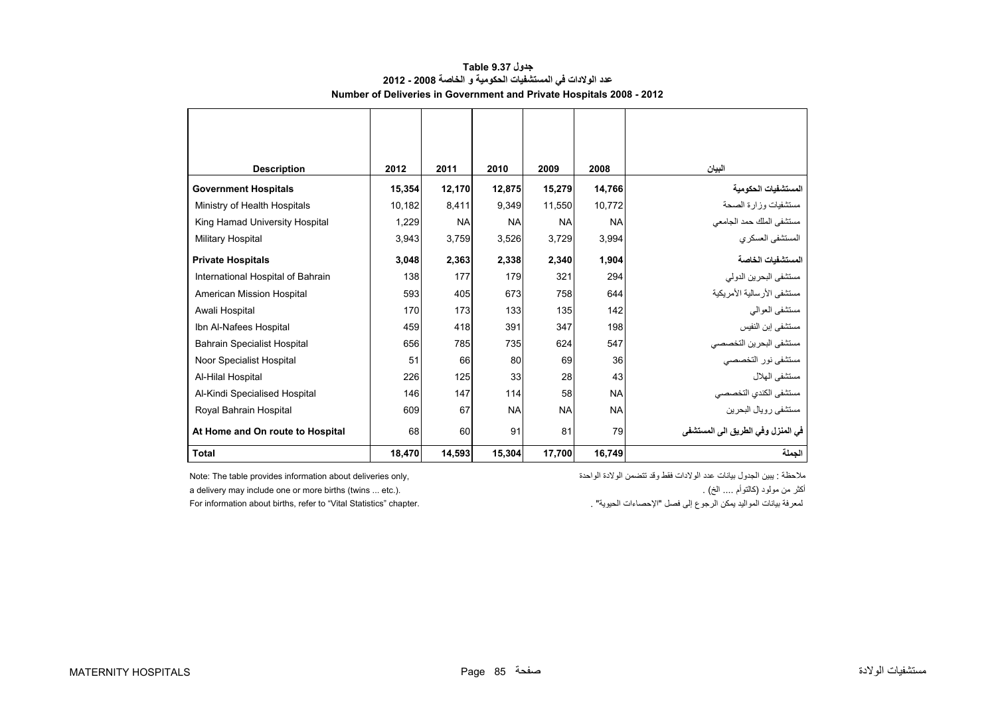<span id="page-1-0"></span>

| <b>Description</b>                 | 2012   | 2011      | 2010      | 2009      | 2008      | البيان                             |
|------------------------------------|--------|-----------|-----------|-----------|-----------|------------------------------------|
| <b>Government Hospitals</b>        | 15,354 | 12,170    | 12,875    | 15,279    | 14,766    | المستشفيات الحكومية                |
| Ministry of Health Hospitals       | 10,182 | 8,411     | 9,349     | 11,550    | 10,772    | مستشفيات وزارة الصحة               |
| King Hamad University Hospital     | 1,229  | <b>NA</b> | <b>NA</b> | <b>NA</b> | <b>NA</b> | مستشفى الملك حمد الجامعي           |
| <b>Military Hospital</b>           | 3,943  | 3,759     | 3,526     | 3,729     | 3,994     | المستشفى العسكري                   |
| <b>Private Hospitals</b>           | 3,048  | 2,363     | 2,338     | 2,340     | 1,904     | المستشفيات الخاصة                  |
| International Hospital of Bahrain  | 138    | 177       | 179       | 321       | 294       | مستشفى البحرين الدولي              |
| American Mission Hospital          | 593    | 405       | 673       | 758       | 644       | مستشفى الأرسالية الأمريكية         |
| Awali Hospital                     | 170    | 173       | 133       | 135       | 142       | مستشفى العوالى                     |
| Ibn Al-Nafees Hospital             | 459    | 418       | 391       | 347       | 198       | مستشفى إبن النفيس                  |
| <b>Bahrain Specialist Hospital</b> | 656    | 785       | 735       | 624       | 547       | مستشفى البحرين التخصصي             |
| Noor Specialist Hospital           | 51     | 66        | 80        | 69        | 36        | مستشفى نور التخصصي                 |
| Al-Hilal Hospital                  | 226    | 125       | 33        | 28        | 43        | مستشفى الهلال                      |
| Al-Kindi Specialised Hospital      | 146    | 147       | 114       | 58        | <b>NA</b> | مستشفى الكندي التخصصي              |
| Royal Bahrain Hospital             | 609    | 67        | <b>NA</b> | <b>NA</b> | <b>NA</b> | مستشفى رويال البحرين               |
| At Home and On route to Hospital   | 68     | 60        | 91        | 81        | 79        | في المنز ل وفي الطريق الى المستشفى |
| <b>Total</b>                       | 18,470 | 14,593    | 15,304    | 17,700    | 16,749    | الحملة                             |

## **جدول 9.37 Table عدد الوالدات في المستشفيات الحكومية <sup>و</sup> الخاصة 2008 - 2012 Number of Deliveries in Government and Private Hospitals 2008 - 2012**

ملاحظة : يبين الجدول بيانات عدد الولادات فقط وقد تتضمن الولادة الواحدة ,only deliveries only والدادة فقط وقد تتضمن الولادة الواحدة ,only deliveries only deliveries only deliveries only deliveries only

a delivery may include one or more births (twins ... etc.).<br>لمعرفة بيانات المواليد يمكن الرجوع إلى فصل "الإحصاءات الحيوية" .<br>لمعرفة بيانات المواليد يمكن الرجوع إلى فصل "الإحصاءات الحيوية" . For information about births, refer to "Vital Statistics" chapter.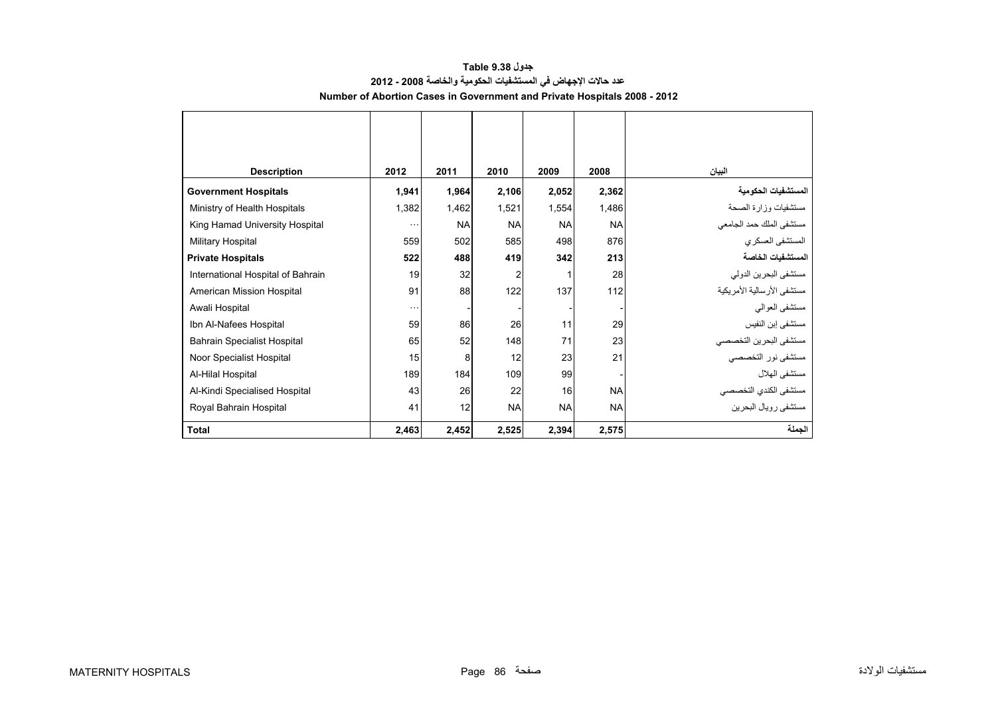<span id="page-2-0"></span>

| <b>Description</b>                 | 2012     | 2011      | 2010           | 2009      | 2008      | البيان                     |
|------------------------------------|----------|-----------|----------------|-----------|-----------|----------------------------|
| <b>Government Hospitals</b>        | 1,941    | 1,964     | 2,106          | 2,052     | 2,362     | المستشفيات الحكومية        |
| Ministry of Health Hospitals       | 1,382    | 1,462     | 1,521          | 1,554     | 1,486     | مستشفيات وزارة الصحة       |
| King Hamad University Hospital     | $\cdots$ | <b>NA</b> | <b>NA</b>      | <b>NA</b> | <b>NA</b> | مستشفى الملك حمد الجامعي   |
| Military Hospital                  | 559      | 502       | 585            | 498       | 876       | المستشفى العسكري           |
| <b>Private Hospitals</b>           | 522      | 488       | 419            | 342       | 213       | المستشفيات الخاصة          |
| International Hospital of Bahrain  | 19       | 32        | $\overline{c}$ | 1         | 28        | مستشفى البحرين الدولي      |
| American Mission Hospital          | 91       | 88        | 122            | 137       | 112       | مستشفى الأرسالية الأمريكية |
| Awali Hospital                     | $\cdots$ |           |                |           |           | مستشفى العوالمي            |
| Ibn Al-Nafees Hospital             | 59       | 86        | 26             | 11        | 29        | مستشفى إبن النفيس          |
| <b>Bahrain Specialist Hospital</b> | 65       | 52        | 148            | 71        | 23        | مستشفى البحرين التخصصي     |
| Noor Specialist Hospital           | 15       | 8         | 12             | 23        | 21        | مستشفى نور التخصصي         |
| Al-Hilal Hospital                  | 189      | 184       | 109            | 99        |           | مستشفى الهلال              |
| Al-Kindi Specialised Hospital      | 43       | 26        | 22             | 16        | <b>NA</b> | مستشفى الكندي التخصصي      |
| Royal Bahrain Hospital             | 41       | 12        | <b>NA</b>      | <b>NA</b> | <b>NA</b> | مستشفى رويال البحرين       |
| <b>Total</b>                       | 2,463    | 2,452     | 2,525          | 2,394     | 2,575     | الجملة                     |

## **جدول 9.38 Table عدد حاالت اإلجھاض في المستشفيات الحكومية والخاصة 2008 - 2012 Number of Abortion Cases in Government and Private Hospitals 2008 - 2012**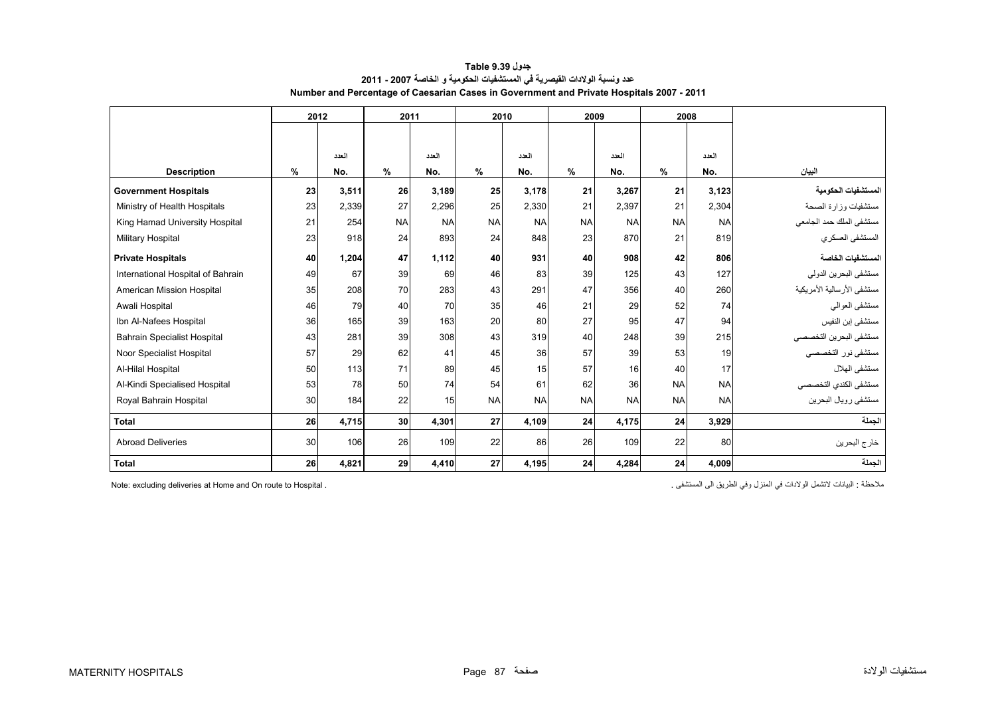<span id="page-3-0"></span>

|                                    | 2012 |       |           |           |           | 2011      |           | 2010      |           | 2009      | 2008                       |  |  |
|------------------------------------|------|-------|-----------|-----------|-----------|-----------|-----------|-----------|-----------|-----------|----------------------------|--|--|
|                                    |      |       |           |           |           |           |           |           |           |           |                            |  |  |
|                                    |      | العدد |           | العدد     |           | العدد     |           | العدد     |           | العدد     |                            |  |  |
| <b>Description</b>                 | $\%$ | No.   | $\%$      | No.       | $\%$      | No.       | %         | No.       | %         | No.       | البيان                     |  |  |
| <b>Government Hospitals</b>        | 23   | 3,511 | 26        | 3,189     | 25        | 3,178     | 21        | 3,267     | 21        | 3,123     | المستشفيات الحكومية        |  |  |
| Ministry of Health Hospitals       | 23   | 2,339 | 27        | 2,296     | 25        | 2,330     | 21        | 2,397     | 21        | 2,304     | مستشفيات وزارة الصحة       |  |  |
| King Hamad University Hospital     | 21   | 254   | <b>NA</b> | <b>NA</b> | <b>NA</b> | <b>NA</b> | <b>NA</b> | <b>NA</b> | <b>NA</b> | <b>NA</b> | مستشفى الملك حمد الجامعي   |  |  |
| Military Hospital                  | 23   | 918   | 24        | 893       | 24        | 848       | 23        | 870       | 21        | 819       | المستشفى العسكري           |  |  |
| <b>Private Hospitals</b>           | 40   | 1,204 | 47        | 1,112     | 40        | 931       | 40        | 908       | 42        | 806       | المستشفيات الخاصة          |  |  |
| International Hospital of Bahrain  | 49   | 67    | 39        | 69        | 46        | 83        | 39        | 125       | 43        | 127       | مستشفى البحرين الدولي      |  |  |
| American Mission Hospital          | 35   | 208   | 70        | 283       | 43        | 291       | 47        | 356       | 40        | 260       | مستشفى الأرسالية الأمريكية |  |  |
| Awali Hospital                     | 46   | 79    | 40        | 70        | 35        | 46        | 21        | 29        | 52        | 74        | مستشفى العوالي             |  |  |
| Ibn Al-Nafees Hospital             | 36   | 165   | 39        | 163       | 20        | 80        | 27        | 95        | 47        | 94        | مستشفى إبن النفيس          |  |  |
| <b>Bahrain Specialist Hospital</b> | 43   | 281   | 39        | 308       | 43        | 319       | 40        | 248       | 39        | 215       | مستشفى البحرين التخصصي     |  |  |
| Noor Specialist Hospital           | 57   | 29    | 62        | 41        | 45        | 36        | 57        | 39        | 53        | 19        | مستشفى نور التخصصي         |  |  |
| Al-Hilal Hospital                  | 50   | 113   | 71        | 89        | 45        | 15        | 57        | 16        | 40        | 17        | مستشفى الهلال              |  |  |
| Al-Kindi Specialised Hospital      | 53   | 78    | 50        | 74        | 54        | 61        | 62        | 36        | <b>NA</b> | <b>NA</b> | مستشفى الكندي التخصصي      |  |  |
| Royal Bahrain Hospital             | 30   | 184   | 22        | 15        | <b>NA</b> | <b>NA</b> | <b>NA</b> | <b>NA</b> | <b>NA</b> | <b>NA</b> | مستشفى رويال البحرين       |  |  |
| <b>Total</b>                       | 26   | 4,715 | 30        | 4,301     | 27        | 4,109     | 24        | 4,175     | 24        | 3,929     | الجملة                     |  |  |
| <b>Abroad Deliveries</b>           | 30   | 106   | 26        | 109       | 22        | 86        | 26        | 109       | 22        | 80        | خارج البحرين               |  |  |
| <b>Total</b>                       | 26   | 4.821 | 29        | 4.410     | 27        | 4.195     | 24        | 4.284     | 24        | 4.009     | الحملة                     |  |  |

**جدول 9.39 Table عدد ونسبة الوالدات القيصرية في المستشفيات الحكومية <sup>و</sup> الخاصة 2007 - 2011 Number and Percentage of Caesarian Cases in Government and Private Hospitals 2007 - 2011**

Note: excluding deliveries at Home and On route to Hospital .

ملاحظة : البيانات لاتشمل الولادات في المنزل وفي الطريق الى المستشفى .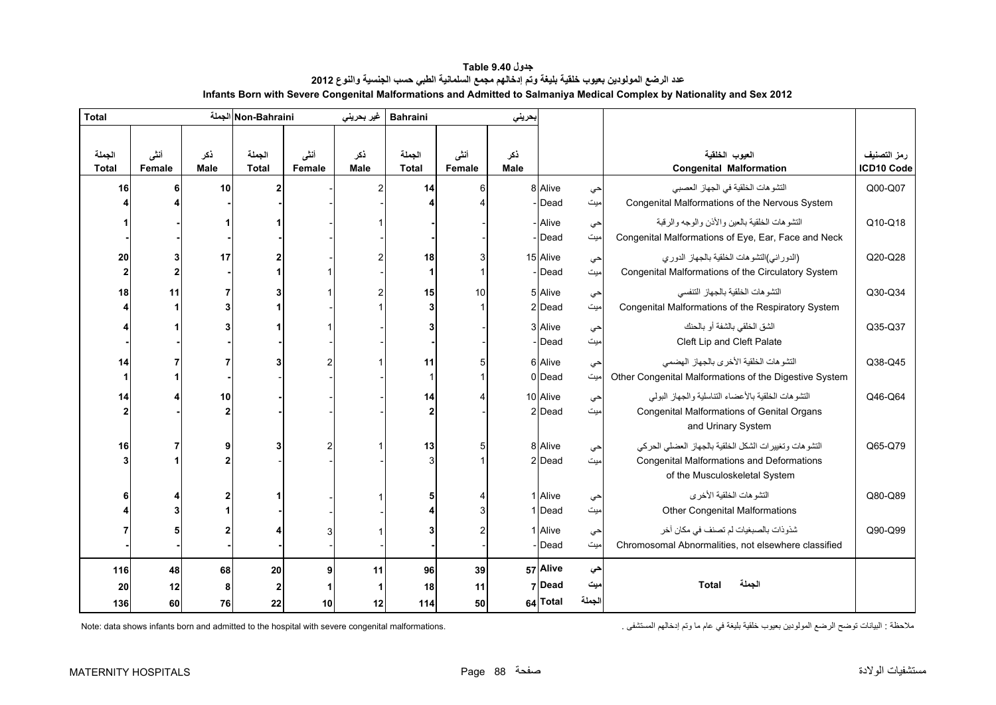<span id="page-4-0"></span>

| <b>Total</b>           |                |                    | Non-Bahraini الجملة    |                | غير بحريني         | <b>Bahraini</b><br>بحريني |                |             |          |           |                                                        |                           |
|------------------------|----------------|--------------------|------------------------|----------------|--------------------|---------------------------|----------------|-------------|----------|-----------|--------------------------------------------------------|---------------------------|
| الجملة<br><b>Total</b> | أنشى<br>Female | ذكر<br><b>Male</b> | الجملة<br><b>Total</b> | أننى<br>Female | نكر<br><b>Male</b> | الجملة<br><b>Total</b>    | أنشى<br>Female | ذكر<br>Male |          |           | العيوب الخلقية<br><b>Congenital Malformation</b>       | رمز التصنيف<br>ICD10 Code |
| 16                     |                | 10                 |                        |                |                    | 14                        | 6              |             | 8 Alive  | حي        | التشو هات الخلقية في الجهاز العصبي                     | Q00-Q07                   |
|                        |                |                    |                        |                |                    |                           |                |             | Dead     | ميت       | Congenital Malformations of the Nervous System         |                           |
|                        |                |                    |                        |                |                    |                           |                |             | - Alive  | حي        | التشوهات الخلقية بالعين والأذن والوجه والرقبة          | Q10-Q18                   |
|                        |                |                    |                        |                |                    |                           |                |             | Dead     | میت       | Congenital Malformations of Eye, Ear, Face and Neck    |                           |
| 20                     |                | 17                 |                        |                |                    | 18                        | 3              |             | 15 Alive | حي        | (الدوراني)التشوهات الخلقية بالجهاز الدوري              | Q20-Q28                   |
| $\mathbf{2}$           |                |                    |                        |                |                    | 1                         | $\overline{1}$ |             | Dead     | میت       | Congenital Malformations of the Circulatory System     |                           |
| 18                     | 11             |                    |                        |                |                    | 15                        | 10             |             | 5 Alive  | احي       | التشو هات الخلقية بالجهاز التنفسي                      | Q30-Q34                   |
|                        |                |                    |                        |                |                    | 3                         |                |             | 2 Dead   | میت       | Congenital Malformations of the Respiratory System     |                           |
|                        |                |                    |                        |                |                    |                           |                |             | 3 Alive  |           | الشق الخلقي بالشفة أو بالحنك                           | Q35-Q37                   |
|                        |                |                    |                        |                |                    |                           |                |             | Dead     | حي<br>میت | Cleft Lip and Cleft Palate                             |                           |
| 14                     |                |                    |                        |                |                    | 11                        | 5              |             | 6 Alive  |           | التشوهات الخلقية الأخرى بالجهاز الهضمى                 | Q38-Q45                   |
|                        |                |                    |                        |                |                    |                           |                |             | 0 Dead   | حي<br>میت | Other Congenital Malformations of the Digestive System |                           |
| 14                     |                | 10                 |                        |                |                    | 14                        |                |             | 10 Alive |           | التشوهات الخلقية بالأعضاء التناسلية والجهاز البولى     | Q46-Q64                   |
| 2                      |                | 2                  |                        |                |                    | $\overline{2}$            |                |             | 2 Dead   | حي<br>میت | Congenital Malformations of Genital Organs             |                           |
|                        |                |                    |                        |                |                    |                           |                |             |          |           | and Urinary System                                     |                           |
| 16                     |                | 9                  |                        | 2              |                    | 13                        | 5              |             | 8 Alive  | حي        | التشوهات وتغييرات الشكل الخلقية بالجهاز العضلى الحركى  | Q65-Q79                   |
|                        |                |                    |                        |                |                    | 3                         |                |             | 2 Dead   | میت       | <b>Congenital Malformations and Deformations</b>       |                           |
|                        |                |                    |                        |                |                    |                           |                |             |          |           | of the Musculoskeletal System                          |                           |
|                        |                | 2                  |                        |                |                    |                           |                |             | 1 Alive  | حي        | التشو هات الخلقية الأخر ي                              | Q80-Q89                   |
|                        |                |                    |                        |                |                    |                           | 3              |             | 1 Dead   | میت       | <b>Other Congenital Malformations</b>                  |                           |
|                        |                | 2                  |                        |                |                    |                           | $\overline{2}$ |             | 1 Alive  | حي        | شذوذات بالصبغيات لم تصنف في مكان أخر                   | Q90-Q99                   |
|                        |                |                    |                        |                |                    |                           |                |             | Dead     | میت       | Chromosomal Abnormalities, not elsewhere classified    |                           |
| 116                    | 48             | 68                 | 20                     | 9 <sup>1</sup> | 11                 | 96                        | 39             |             | 57 Alive | حي        |                                                        |                           |
| 20                     | 12             | 8                  | 2                      |                | 1                  | 18                        | 11             |             | 7Dead    | ميت       | الجملة<br>Total                                        |                           |
| 136                    | 60             | 76                 | 22                     | 10             | 12                 | 114                       | 50             |             | 64 Total | الجملة    |                                                        |                           |

**جدول 9.40 Table عدد الرضع المولودين بعيوب خلقية بليغة وتم إدخالھم مجمع السلمانية الطبي حسب الجنسية والنوع<sup>2012</sup> Infants Born with Severe Congenital Malformations and Admitted to Salmaniya Medical Complex by Nationality and Sex 2012** 

Note: data shows infants born and admitted to the hospital with severe congenital malformations.

مالحظة : البيانات توضح الرضع المولودين بعيوب خلقية بليغة في عام ما وتم إدخالھم المستشفى .